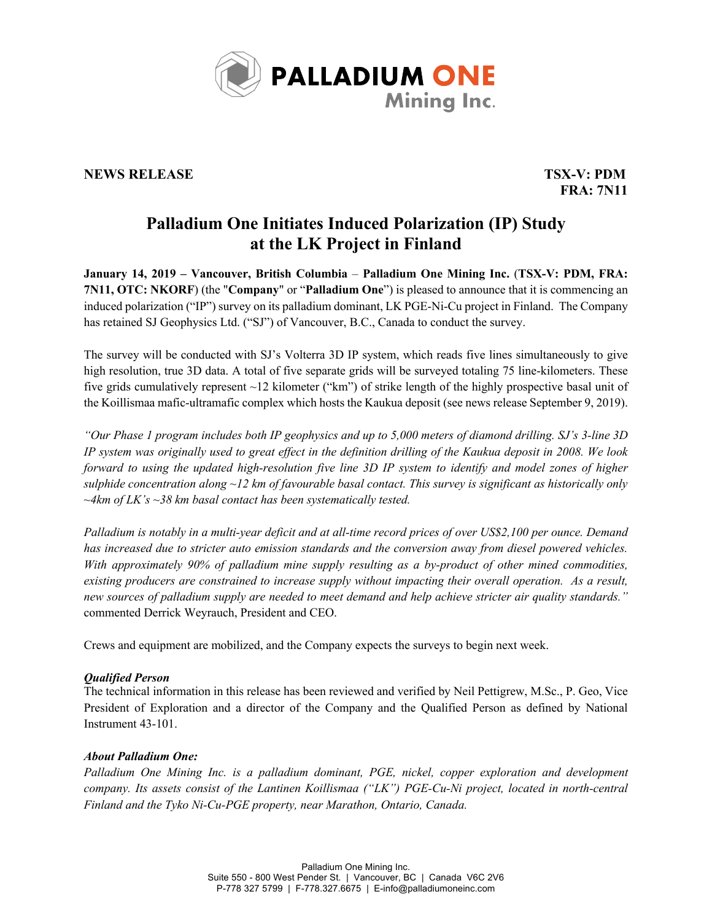

## **NEWS RELEASE TSX-V: PDM**

**FRA: 7N11**

# **Palladium One Initiates Induced Polarization (IP) Study at the LK Project in Finland**

**January 14, 2019 – Vancouver, British Columbia** – **Palladium One Mining Inc.** (**TSX-V: PDM, FRA: 7N11, OTC: NKORF**) (the "**Company**" or "**Palladium One**") is pleased to announce that it is commencing an induced polarization ("IP") survey on its palladium dominant, LK PGE-Ni-Cu project in Finland. The Company has retained SJ Geophysics Ltd. ("SJ") of Vancouver, B.C., Canada to conduct the survey.

The survey will be conducted with SJ's Volterra 3D IP system, which reads five lines simultaneously to give high resolution, true 3D data. A total of five separate grids will be surveyed totaling 75 line-kilometers. These five grids cumulatively represent ~12 kilometer ("km") of strike length of the highly prospective basal unit of the Koillismaa mafic-ultramafic complex which hosts the Kaukua deposit (see news release September 9, 2019).

*"Our Phase 1 program includes both IP geophysics and up to 5,000 meters of diamond drilling. SJ's 3-line 3D IP system was originally used to great effect in the definition drilling of the Kaukua deposit in 2008. We look forward to using the updated high-resolution five line 3D IP system to identify and model zones of higher sulphide concentration along ~12 km of favourable basal contact. This survey is significant as historically only ~4km of LK's ~38 km basal contact has been systematically tested.*

*Palladium is notably in a multi-year deficit and at all-time record prices of over US\$2,100 per ounce. Demand has increased due to stricter auto emission standards and the conversion away from diesel powered vehicles. With approximately 90% of palladium mine supply resulting as a by-product of other mined commodities, existing producers are constrained to increase supply without impacting their overall operation. As a result, new sources of palladium supply are needed to meet demand and help achieve stricter air quality standards."*  commented Derrick Weyrauch, President and CEO.

Crews and equipment are mobilized, and the Company expects the surveys to begin next week.

### *Qualified Person*

The technical information in this release has been reviewed and verified by Neil Pettigrew, M.Sc., P. Geo, Vice President of Exploration and a director of the Company and the Qualified Person as defined by National Instrument 43-101.

### *About Palladium One:*

*Palladium One Mining Inc. is a palladium dominant, PGE, nickel, copper exploration and development company. Its assets consist of the Lantinen Koillismaa ("LK") PGE-Cu-Ni project, located in north-central Finland and the Tyko Ni-Cu-PGE property, near Marathon, Ontario, Canada.*